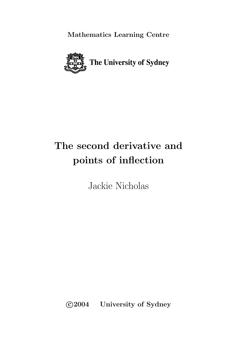**Mathematics Learning Centre**



# **The second derivative and points of inflection**

Jackie Nicholas

**c 2004 University of Sydney**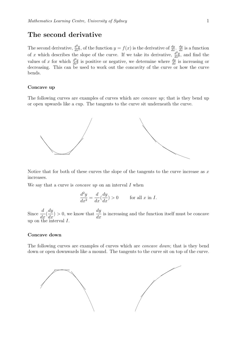## **The second derivative**

The second derivative,  $\frac{d^2y}{dx^2}$ , of the function  $y = f(x)$  is the derivative of  $\frac{dy}{dx} \cdot \frac{dy}{dx}$  is a function of x which describes the slope of the curve. If we take its derivative,  $\frac{d^2y}{dx^2}$ , and find the values of x for which  $\frac{d^2y}{dx^2}$  is positive or negative, we determine where  $\frac{dy}{dx}$  is increasing or decreasing. This can be used to work out the concavity of the curve or how the curve bends.

#### **Concave up**

The following curves are examples of curves which are *concave up*; that is they bend up or open upwards like a cup. The tangents to the curve sit underneath the curve.



Notice that for both of these curves the slope of the tangents to the curve increase as  $x$ increases.

We say that a curve is *concave up* on an interval  $I$  when

$$
\frac{d^2y}{dx^2} = \frac{d}{dx}(\frac{dy}{dx}) > 0 \quad \text{for all } x \text{ in } I.
$$

Since  $\frac{d}{1}$  $rac{u}{dx}$ (  $\frac{dy}{dx}$  > 0, we know that  $\frac{dy}{dx}$  is increasing and the function itself must be concave up on the interval  $I$ .

#### **Concave down**

The following curves are examples of curves which are concave down; that is they bend down or open downwards like a mound. The tangents to the curve sit on top of the curve.

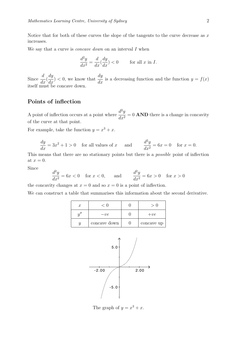Notice that for both of these curves the slope of the tangents to the curve decrease as  $x$ increases.

We say that a curve is *concave down* on an interval I when

$$
\frac{d^2y}{dx^2} = \frac{d}{dx}(\frac{dy}{dx}) < 0 \qquad \text{for all } x \text{ in } I.
$$

Since  $\frac{d}{1}$  $rac{u}{dx}$ (  $\frac{dy}{dx}$  < 0, we know that  $\frac{dy}{dx}$  is a decreasing function and the function  $y = f(x)$ itself must be concave down.

### **Points of inflection**

A point of inflection occurs at a point where  $\frac{d^2y}{dx^2}$  $\frac{d^2y}{dx^2} = 0$  **AND** there is a change in concavity of the curve at that point.

For example, take the function  $y = x^3 + x$ .

$$
\frac{dy}{dx} = 3x^2 + 1 > 0 \quad \text{for all values of } x \quad \text{and} \quad \frac{d^2y}{dx^2} = 6x = 0 \quad \text{for } x = 0.
$$

This means that there are no stationary points but there is a possible point of inflection at  $x=0$ .

Since

$$
\frac{d^2y}{dx^2} = 6x < 0 \quad \text{for } x < 0, \qquad \text{and} \qquad \frac{d^2y}{dx^2} = 6x > 0 \quad \text{for } x > 0
$$

the concavity changes at  $x = 0$  and so  $x = 0$  is a point of inflection.

We can construct a table that summarises this information about the second derivative.

| $\boldsymbol{x}$ | ี เ เ        |            |
|------------------|--------------|------------|
|                  | $-ve$        | $+ve$      |
|                  | concave down | concave up |



The graph of  $y = x^3 + x$ .